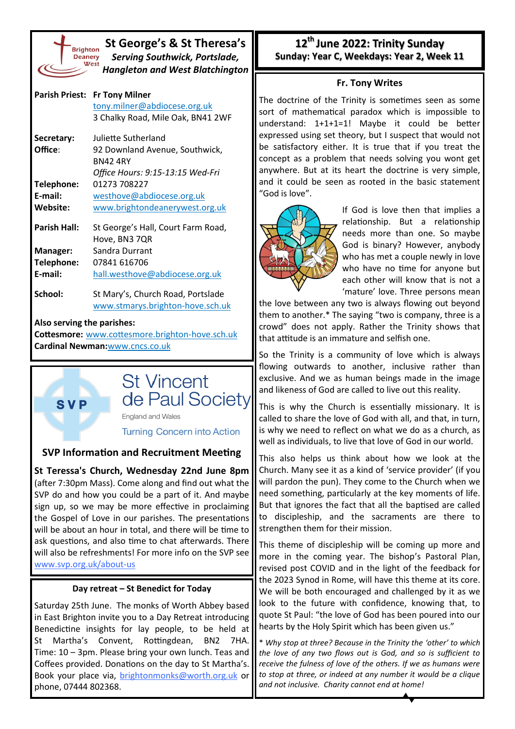

**SVP** 

**St George's & St Theresa's** *Serving Southwick, Portslade, Hangleton and West Blatchington*

|                                                 | Parish Priest: Fr Tony Milner      |  |  |
|-------------------------------------------------|------------------------------------|--|--|
|                                                 | tony.milner@abdiocese.org.uk       |  |  |
|                                                 | 3 Chalky Road, Mile Oak, BN41 2WF  |  |  |
| Secretary:                                      | Juliette Sutherland                |  |  |
| Office:                                         | 92 Downland Avenue, Southwick,     |  |  |
|                                                 | <b>RN42 4RY</b>                    |  |  |
|                                                 | Office Hours: 9:15-13:15 Wed-Fri   |  |  |
| Telephone:                                      | 01273 708227                       |  |  |
| E-mail:                                         | westhove@abdiocese.org.uk          |  |  |
| Website:                                        | www.brightondeanerywest.org.uk     |  |  |
| Parish Hall:                                    | St George's Hall, Court Farm Road, |  |  |
|                                                 | Hove, BN3 7QR                      |  |  |
| <b>Manager:</b>                                 | Sandra Durrant                     |  |  |
| Telephone:                                      | 07841 616706                       |  |  |
| E-mail:                                         | hall.westhove@abdiocese.org.uk     |  |  |
| School:                                         | St Mary's, Church Road, Portslade  |  |  |
|                                                 | www.stmarys.brighton-hove.sch.uk   |  |  |
| Also serving the parishes:                      |                                    |  |  |
| Cottesmore: www.cottesmore.brighton-hove.sch.uk |                                    |  |  |
| <b>Cardinal Newman:www.cncs.co.uk</b>           |                                    |  |  |



England and Wales

**Turning Concern into Action** 

## **SVP Information and Recruitment Meeting**

**St Teressa's Church, Wednesday 22nd June 8pm**  (after 7:30pm Mass). Come along and find out what the SVP do and how you could be a part of it. And maybe sign up, so we may be more effective in proclaiming the Gospel of Love in our parishes. The presentations will be about an hour in total, and there will be time to ask questions, and also time to chat afterwards. There will also be refreshments! For more info on the SVP see [www.svp.org.uk/about](http://www.svp.org.uk/about-us)-us

## **Day retreat – St Benedict for Today**

Saturday 25th June. The monks of Worth Abbey based in East Brighton invite you to a Day Retreat introducing Benedictine insights for lay people, to be held at St Martha's Convent, Rottingdean, BN2 7HA. Time: 10 – 3pm. Please bring your own lunch. Teas and Coffees provided. Donations on the day to St Martha's. Book your place via, [brightonmonks@worth.org.uk](mailto:brightonmonks@worth.org.uk) or phone, 07444 802368.

## **12th June 2022: Trinity Sunday Sunday: Year C, Weekdays: Year 2, Week 11**

## **Fr. Tony Writes**

The doctrine of the Trinity is sometimes seen as some sort of mathematical paradox which is impossible to understand: 1+1+1=1! Maybe it could be better expressed using set theory, but I suspect that would not be satisfactory either. It is true that if you treat the concept as a problem that needs solving you wont get anywhere. But at its heart the doctrine is very simple, and it could be seen as rooted in the basic statement "God is love".



If God is love then that implies a relationship. But a relationship needs more than one. So maybe God is binary? However, anybody who has met a couple newly in love who have no time for anyone but each other will know that is not a 'mature' love. Three persons mean

the love between any two is always flowing out beyond them to another.\* The saying "two is company, three is a crowd" does not apply. Rather the Trinity shows that that attitude is an immature and selfish one.

So the Trinity is a community of love which is always flowing outwards to another, inclusive rather than exclusive. And we as human beings made in the image and likeness of God are called to live out this reality.

This is why the Church is essentially missionary. It is called to share the love of God with all, and that, in turn, is why we need to reflect on what we do as a church, as well as individuals, to live that love of God in our world.

This also helps us think about how we look at the Church. Many see it as a kind of 'service provider' (if you will pardon the pun). They come to the Church when we need something, particularly at the key moments of life. But that ignores the fact that all the baptised are called to discipleship, and the sacraments are there to strengthen them for their mission.

This theme of discipleship will be coming up more and more in the coming year. The bishop's Pastoral Plan, revised post COVID and in the light of the feedback for the 2023 Synod in Rome, will have this theme at its core. We will be both encouraged and challenged by it as we look to the future with confidence, knowing that, to quote St Paul: "the love of God has been poured into our hearts by the Holy Spirit which has been given us."

\* *Why stop at three? Because in the Trinity the 'other' to which the love of any two flows out is God, and so is sufficient to receive the fulness of love of the others. If we as humans were to stop at three, or indeed at any number it would be a clique and not inclusive. Charity cannot end at home!*